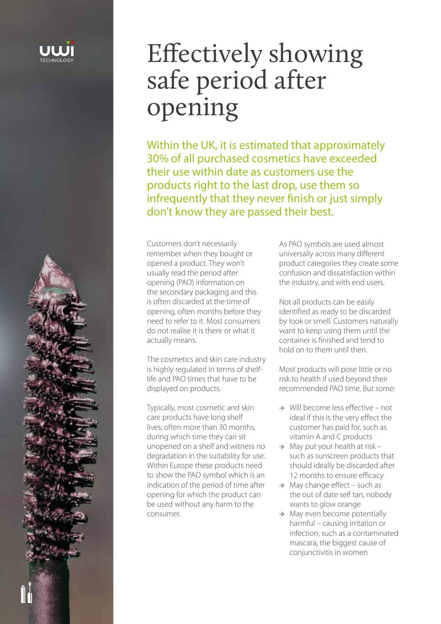

# Effectively showing safe period after opening

Within the UK, it is estimated that approximately 30% of all purchased cosmetics have exceeded their use within date as customers use the products right to the last drop, use them so infrequently that they never finish or just simply don't know they are passed their best.

Customers don't necessarily remember when they bought or opened a product. They won't usually read the period after opening (PAO) information on the secondary packaging and this is often discarded at the time of opening, often months before they need to refer to it. Most consumers do not realise it is there or what it actually means.

The cosmetics and skin care industry is highly regulated in terms of shelflife and PAO times that have to be displayed on products.

Typically, most cosmetic and skin care products have long shelf lives, often more than 30 months, during which time they can sit unopened on a shelf and witness no degradation in the suitability for use. Within Europe these products need to show the PAO symbol which is an indication of the period of time after opening for which the product can be used without any harm to the consumer.

As PAO symbols are used almost universally across many different product categories they create some confusion and dissatisfaction within the industry, and with end users.

Not all products can be easily identified as ready to be discarded by look or smell. Customers naturally want to keep using them until the container is finished and tend to hold on to them until then.

Most products will pose little or no risk to health if used beyond their recommended PAO time. But some:

- → Will become less effective not ideal if this is the very effect the customer has paid for, such as vitamin A and C products
- $\rightarrow$  May put your health at risk such as sunscreen products that should ideally be discarded after 12 months to ensure efficacy
- $\rightarrow$  May change effect such as the out of date self tan, nobody wants to glow orange
- → May even become potentially harmful – causing irritation or infection, such as a contaminated mascara; the biggest cause of conjunctivitis in women